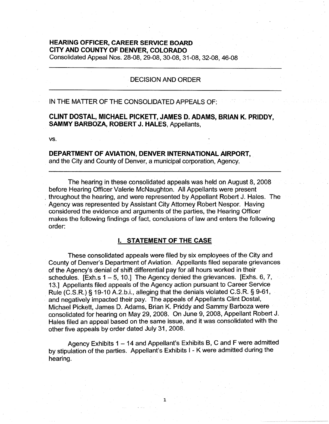# **HEARING OFFICER, CAREER SERVICE BOARD CITY AND COUNTY OF DENVER, COLORADO**

Consolidated Appeal Nos. 28-08, 29-08, 30-08, 31-08, 32-08, 46-08

### DECISION AND ORDER

## IN THE MATTER OF THE CONSOLIDATED APPEALS OF:

## **CLINT DOSTAL, MICHAEL PICKETT, JAMES D. ADAMS, BRIAN K. PRIDDY, SAMMY BARBOZA, ROBERT J. HALES,** Appellants,

**vs.** 

## **DEPARTMENT OF AVIATION, DENVER INTERNATIONAL AIRPORT,**

and the City and County of Denver, a municipal corporation, Agency.

The hearing in these consolidated appeals was held on August 8, 2008 before Hearing Officer Valerie McNaughton. All Appellants were present throughout the hearing, and were represented by Appellant Robert J. Hales. The Agency was represented by Assistant City Attorney Robert Nespor. Having considered the evidence and arguments of the parties, the Hearing Officer makes the following findings of fact, conclusions of law and enters the following order:

## I. **STATEMENT OF THE CASE**

These consolidated appeals were filed by six employees of the City and County of Denver's Department of Aviation. Appellants filed separate grievances of the Agency's denial of shift differential pay for all hours worked in their schedules. [Exh.s  $1 - 5$ , 10.] The Agency denied the grievances. [Exhs. 6, 7, 13.] Appellants filed appeals of the Agency action pursuant to Career Service Rule (C.S.R.) § 19-10 A.2.b.i., alleging that the denials violated C.S.R. § 9-61, and negatively impacted their pay. The appeals of Appellants Clint Dostal, Michael Pickett, James D. Adams, Brian K. Priddy and Sammy Barboza were consolidated for hearing on May 29, 2008. On June 9, 2008, Appellant Robert J. Hales filed an appeal based on the same issue, and it was consolidated with the other five appeals by order dated July 31, 2008.

Agency Exhibits 1 - 14 and Appellant's Exhibits B, C and F were admitted by stipulation of the parties. Appellant's Exhibits I - K were admitted during the hearing.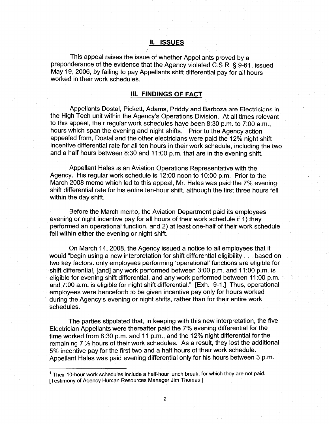#### II. **ISSUES**

This appeal raises the issue of whether Appellants proved by a preponderance of the evidence that the Agency violated C.S.R. § 9-61, issued May 19, 2006, by failing to pay Appellants shift differential pay for all hours worked in their work schedules.

#### Ill. **FINDINGS OF FACT**

Appellants Dostal, Pickett, Adams, Priddy and Barboza are Electricians in the High Tech unit within the Agency's Operations Division. At all times relevant to this appeal, their regular work schedules have been 8:30 p.m. to 7:00 a.m., hours which span the evening and night shifts.<sup>1</sup> Prior to the Agency action appealed from, Dostal and the other electricians were paid the 12% night shift incentive differential rate for all ten hours in their work schedule, including the two and a half hours between 8:30 and 11 :00 p.m. that are in the evening shift.

Appellant Hales is an Aviation Operations Representative with the Agency. His regular work schedule is 12:00 noon to 10:00 p.m. Prior to the March 2008 memo which led to this appeal, Mr. Hales was paid the 7% evening shift differential rate for his entire ten-hour shift, although the first three hours fell within the day shift.

Before the March memo, the Aviation Department paid its employees evening or night incentive pay for all hours of their work schedule if 1) they performed an operational function, and 2) at least one-half of their work schedule fell within either the evening or night shift.

On March 14, 2008, the Agency issued a notice to all employees that it would "begin using a new interpretation for shift differential eligibility ... based on two key factors: only employees performing 'operational' functions are eligible for shift differential, [and] any work performed between 3:00 p.m. and 11 :00 p.m. is eligible for evening shift differential, and any work performed between 11 :00 p.m. and 7:00 a.m. is eligible for night shift differential." [Exh. 9-1.] Thus, operational employees were henceforth to be given incentive pay only for hours worked during the Agency's evening or night shifts, rather than for their entire work schedules.

The parties stipulated that, in keeping with this new interpretation, the five Electrician Appellants were thereafter paid the 7% evening differential for the time worked from 8:30 p.m. and 11 p.m., and the 12% night differential for the remaining 7 ½ hours of their work schedules. As a result, they lost the additional 5% incentive pay for the first two and a half hours of their work schedule. Appellant Hales was paid evening differential only for his hours between 3 p.m.

<sup>1</sup>Their 10-hour work schedules include a half-hour lunch break, for which they are not paid. [Testimony of Agency Human Resources Manager Jim Thomas.]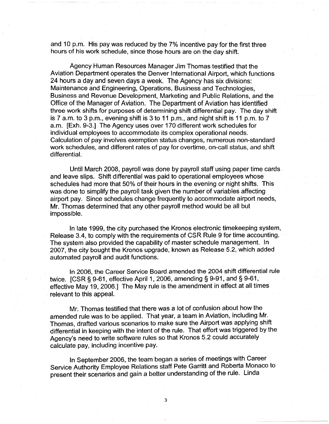and 10 p.m. His pay was reduced by the 7% incentive pay for the first three hours of his work schedule, since those hours are on the day shift.

Agency Human Resources Manager Jim Thomas testified that the Aviation Department operates the Denver International Airport, which functions 24 hours a day and seven days a week. The Agency has six divisions: Maintenance and Engineering, Operations, Business and Technologies, Business and Revenue Development, Marketing and Public Relations, and the Office of the Manager of Aviation. The Department of Aviation has identified three work shifts for purposes of determining shift differential pay. The day shift is 7 a.m. to 3 p.m., evening shift is 3 to 11 p.m., and night shift is 11 p.m. to 7 a.m. [Exh. 9-3.] The Agency uses over 170 different work schedules for individual employees to accommodate its complex operational needs. Calculation of pay involves exemption status changes, numerous non-standard work schedules, and different rates of pay for overtime, on-call status, and shift differential.

Until March 2008, payroll was done by payroll staff using paper time cards and leave slips. Shift differential was paid to operational employees whose schedules had more that 50% of their hours in the evening or night shifts. This was done to simplify the payroll task given the number of variables affecting airport pay. Since schedules change frequently to accommodate airport needs, Mr. Thomas determined that any other payroll method would be all but impossible.

In late 1999, the city purchased the Kronos electronic timekeeping system, Release 3.4, to comply with the requirements of CSR Rule 9 for time accounting. The system also provided the capability of master schedule management. In 2007, the city bought the Kronos upgrade, known as Release 5.2, which added automated payroll and audit functions.

In 2006, the Career Service Board amended the 2004 shift differential rule twice. [CSR§ 9-61, effective April 1, 2006, amending§ 9-91, and§ 9-61, effective May 19, 2006.] The May rule is the amendment in effect at all times relevant to this appeal.

Mr. Thomas testified that there was a lot of confusion about how the amended rule was to be applied. That year, a team in Aviation, including Mr. Thomas, drafted various scenarios to make sure the Airport was applying shift differential in keeping with the intent of the rule. That effort was triggered by the Agency's need to write software rules so that Kronos 5.2 could accurately calculate pay, including incentive pay.

In September 2006, the team began a series of meetings with Career Service Authority Employee Relations staff Pete Garritt and Roberta Monaco to present their scenarios and gain a better understanding of the rule. Linda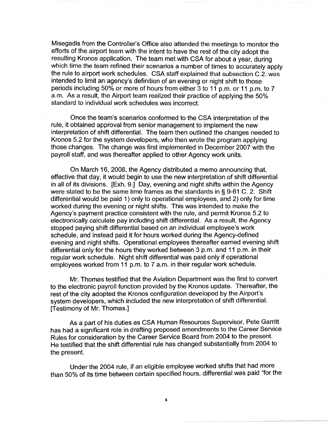Misegadis from the Controller's Office also attended the meetings to monitor the efforts of the airport team with the intent to have the rest of the city adopt the resulting Kronos application. The team met with CSA for about a year, during which time the team refined their scenarios a number of times to accurately apply the rule to airport work schedules. CSA staff explained that subsection C.2. was intended to limit an agency's definition of an evening or night shift to those periods including 50% or more of hours from either 3 to 11 p.m. or 11 p.m. to 7 a.m. As a result, the Airport team realized their practice of applying the 50% standard to individual work schedules was incorrect.

Once the team's scenarios conformed to the CSA interpretation of the rule, it obtained approval from senior management to implement the new interpretation of shift differential. The team then outlined the changes needed to Kronos 5.2 for the system developers, who then wrote the program applying those changes. The change was first implemented in December 2007 with the payroll staff, and was thereafter applied to other Agency work units.

On March 16, 2008, the Agency distributed a memo announcing that, effective that day, it would begin to use the new interpretation of shift differential in all of its divisions. [Exh. 9.] Day, evening and night shifts within the Agency were stated to be the same time frames as the standards in  $\S$  9-61 C. 2. Shift differential would be paid 1) only to operational employees, and 2) only for time worked during the evening or night shifts. This was intended to make the Agency's payment practice consistent with the rule, and permit Kronos 5.2 to electronically calculate pay including shift differential. As a result, the Agency stopped paying shift differential based on an individual employee's work schedule, and instead paid it for hours worked during the Agency-defined evening and night shifts. Operational employees thereafter earned evening shift differential only for the hours they worked between 3 p.m. and 11 p.m. in their regular work schedule. Night shift differential was paid only if operational employees worked from 11 p.m. to 7 a.m. in their regular work schedule.

Mr. Thomas testified that the Aviation Department was the first to convert to the electronic payroll function provided by the Kronos update. Thereafter, the rest of the city adopted the Kronos configuration developed by the Airport's system developers, which included the new interpretation of shift differential. [Testimony of Mr. Thomas.]

As a part of his duties as CSA Human Resources Supervisor, Pete Garritt has had a significant role in drafting proposed amendments to the Career Service Rules for consideration by the Career Service Board from 2004 to the present. He testified that the shift differential rule has changed substantially from 2004 to the present.

Under the 2004 rule, if an eligible employee worked shifts that had more than 50% of its time between certain specified hours, differential was paid "for the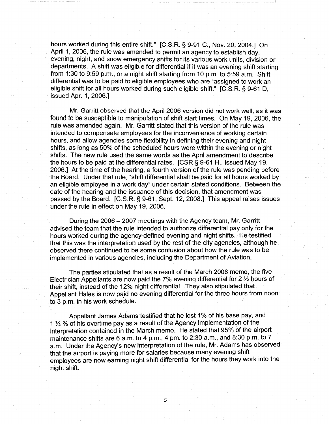hours worked during this entire shift." [C.S.R. § 9-91 C., Nov. 20, 2004.] On April 1, 2006, the rule was amended to permit an agency to establish day, evening, night, and snow emergency shifts for its various work units, division or departments. A shift was eligible for differential if it was an evening shift starting from 1:30 to 9:59 p.m., or a night shift starting from 10 p.m. to 5:59 a.m. Shift differential was to be paid to eligible employees who are "assigned to work an eligible shift for all hours worked during such eligible shift." [C.S.R. § 9-61 D, issued Apr. 1, 2006.]

Mr. Garritt observed that the April 2006 version did not work well, as it was found to be susceptible to manipulation of shift start times. On May 19, 2006, the rule was amended again. Mr. Garritt stated that this version of the rule was intended to compensate employees for the inconvenience of working certain hours, and allow agencies some flexibility in defining their evening and night shifts, as long as 50% of the scheduled hours were within the evening or night shifts. The new rule used the same words as the April amendment to describe the hours to be paid at the differential rates. [CSR § 9-61 H., issued May 19, 2006.] At the time of the hearing, a fourth version of the rule was pending before the Board. Under that rule, "shift differential shall be paid for all hours worked by an eligible employee in a work day" under certain stated conditions. Between the date of the hearing and the issuance of this decision, that amendment was passed by the Board. [C.S.R. § 9-61, Sept. 12, 2008.] This appeal raises issues under the rule in effect on May 19, 2006.

During the 2006 - 2007 meetings with the Agency team, Mr. Garritt advised the team that the rule intended to authorize differential pay only for the hours worked during the agency-defined evening and night shifts. He testified that this was the interpretation used by the rest of the city agencies, although he observed there continued to be some confusion about how the rule was to be implemented in various agencies, including the Department of Aviation.

The parties stipulated that as a result of the March 2008 memo, the five Electrician Appellants are now paid the 7% evening differential for 2 ½ hours of their shift, instead of the 12% night differential. They also stipulated that Appellant Hales is now paid no evening differential for the three hours from noon to 3 p.m. in his work schedule.

Appellant James Adams testified that he lost 1 % of his base pay, and 1 ½ % of his overtime pay as a result of the Agency implementation of the interpretation contained in the March memo. He stated that 95% of the airport maintenance shifts are 6 a.m. to 4 p.m., 4 pm. to 2:30 a.m., and 8:30 p.m. to 7 a.m. Under the Agency's new interpretation of the rule, Mr. Adams has observed that the airport is paying more for salaries because many evening shift employees are now earning night shift differential for the hours they work into the night shift.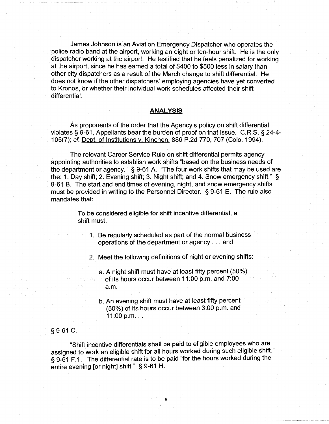James Johnson is an Aviation Emergency Dispatcher who operates the police radio band at the airport, working an eight or ten-hour shift. He is the only dispatcher working at the airport. He testified that he feels penalized for working at the airport, since he has earned a total of \$400 to \$500 less in salary than other city dispatchers as a result of the March change to shift differential. He does not know if the other dispatchers' employing agencies have yet converted to Kronos, or whether their individual work schedules affected their shift differential.

#### **ANALYSIS**

As proponents of the order that the Agency's policy on shift differential violates § 9-61, Appellants bear the burden of proof on that issue. C.R.S. § 24-4- 105(7); cf. Dept. of Institutions v. Kinchen. 886 P.2d 770, 707 (Colo. 1994).

The relevant Career Service Rule on shift differential permits agency appointing authorities to establish work shifts "based on the business needs of the department or agency." § 9-61 A. "The four work shifts that may be used are the: 1. Day shift; 2. Evening shift; 3. Night shift; and 4. Snow emergency shift." § 9-61 B. The start and end times of evening, night, and snow emergency shifts must be provided in writing to the Personnel Director. § 9-61 E. The rule also mandates that:

> To be considered eligible for shift incentive differential, a shift must:

1. Be regularly scheduled as part of the normal business operations of the department or agency ... and

2. Meet the following definitions of night or evening shifts:

a. A night shift must have at least fifty percent (50%) of its hours occur between 11 :00 p.m. and 7:00 a.m.

b. An evening shift must have at least fifty percent (50%) of its hours occur between 3:00 p.m. and  $11:00$  p.m.  $\ldots$ 

#### § 9-61 C.

"Shift incentive differentials shall be paid to eligible employees who are assigned to work an eligible shift for all hours worked during such eligible shift." § 9-61 F.1. The differential rate is to be paid "for the hours worked during the entire evening [or night] shift." § 9-61 H.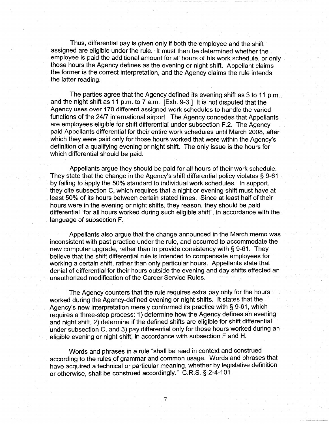Thus, differential pay is given only if both the employee and the shift assigned are eligible under the rule. It must then be determined whether the employee is paid the additional amount for all hours of his work schedule, or only those hours the Agency defines as the evening or night shift. Appellant claims the former is the correct interpretation, and the Agency claims the rule intends the latter reading.

The parties agree that the Agency defined its evening shift as 3 to 11 p.m., and the night shift as 11 p.m. to 7 a.m. [Exh. 9-3.] It is not disputed that the Agency uses over 170 different assigned work schedules to handle the varied functions of the 24/7 international airport. The Agency concedes that Appellants are employees eligible for shift differential under subsection F.2. The Agency paid Appellants differential for their entire work schedules until March 2008, after which they were paid only for those hours worked that were within the Agency's definition of a qualifying evening or night shift. The only issue is the hours for which differential should be paid.

Appellants argue they should be paid for all hours of their work schedule. They state that the change in the Agency's shift differential policy violates§ 9-61 by failing to apply the 50% standard to individual work schedules. In support, they cite subsection C, which requires that a night or evening shift must have at least 50% of its hours between certain stated times. Since at least half of their hours were in the evening or night shifts, they reason, they should be paid differential "for all hours worked during such eligible shift", in accordance with the. language of subsection F.

Appellants also argue that the change announced in the March memo was inconsistent with past practice under the rule, and occurred to accommodate the new computer upgrade, rather than to provide consistency with§ 9-61. They believe that the shift differential rule is intended to compensate employees for working a certain shift, rather than only particular hours. Appellants state that denial of differential for their hours outside the evening and day shifts effected an unauthorized modification of the Career Service Rules.

The Agency counters that the rule requires extra pay only for the hours worked during the Agency-defined evening or night shifts. It states that the Agency's new interpretation merely conformed its practice with § 9-61, which requires a three-step process: 1) determine how the Agency defines an evening and night shift, 2) determine if the defined shifts are eligible for shift differential under subsection C, and 3) pay differential only for those hours worked during an eligible evening or night shift, in accordance with subsection F and H.

Words and phrases in a rule "shall be read in context and construed according to the rules of grammar and common usage. Words and phrases that have acquired a technical or particular meaning, whether by legislative definition or otherwise, shall be construed accordingly." C.R.S. § 2-4-101.

7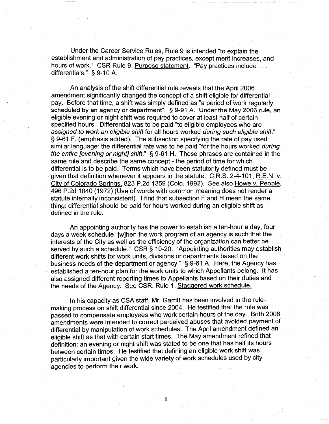Under the Career Service Rules, Rule 9 is intended "to explain the establishment and administration of pay practices, except merit increases, and hours of work." CSR Rule 9, Purpose statement. "Pay practices include . . . differentials." § 9-10 A.

An analysis of the shift differential rule reveals that the April 2006 amendment significantly changed the concept of a shift eligible for differential pay. Before that time, a shift was simply defined as "a period of work regularly scheduled by an agency or department". § 9-91 A. Under the May 2006 rule, an eligible evening or night shift was required to cover at least half of certain specified hours. Differential was to be paid "to eligible employees who are assigned to work an eligible shift for all hours worked during such eligible shift." § 9-61 F. (emphasis added). The subsection specifying the rate of pay used similar language: the differential rate was to be paid "for the hours worked during the entire [evening or night] shift." § 9-61 H. These phrases are contained in the same rule and describe the same concept - the period of time for which differential is to be paid. Terms which have been statutorily defined must be given that definition whenever it appears in the statute. C.R.S. 2-4-101; R.E.N. v. City of Colorado Springs, 823 P.2d 1359 (Colo. 1992). See also Howe v. People, 496 P.2d 1040 (1972) (Use of words with common meaning does not render a statute internally inconsistent). I find that subsection F and H mean the same thing: differential should be paid for hours worked during an eligible shift as defined in the rule.

An appointing authority has the power to establish a ten-hour a day, four days a week schedule "[w]hen the work program of an agency is such that the interests of the City as well as the efficiency of the organization can better be served by such a schedule." CSR § 10-20. "Appointing authorities may establish different work shifts for work units, divisions or departments based on the business needs of the department or agency." § 9-61 A. Here, the Agency has established a ten-hour plan for the work units to which Appellants belong. It has also assigned different reporting times to Appellants based on their duties and the needs of the Agency. See CSR. Rule 1, Staggered work schedule.

In his capacity as CSA staff, Mr. Garritt has been involved in the rulemaking process on shift differential since 2004. He testified that the rule was passed to compensate employees who work certain hours of the day. Both 2006 amendments were intended to correct perceived abuses that avoided payment of differential by manipulation of work schedules. The April amendment defined an eligible shift as that with certain start times. The May amendment refined that definition: an evening or night shift was stated to be one that has half its hours between certain times. He testified that defining an eligible work shift was particularly important given the wide variety of work schedules used by city agencies to perform their work.